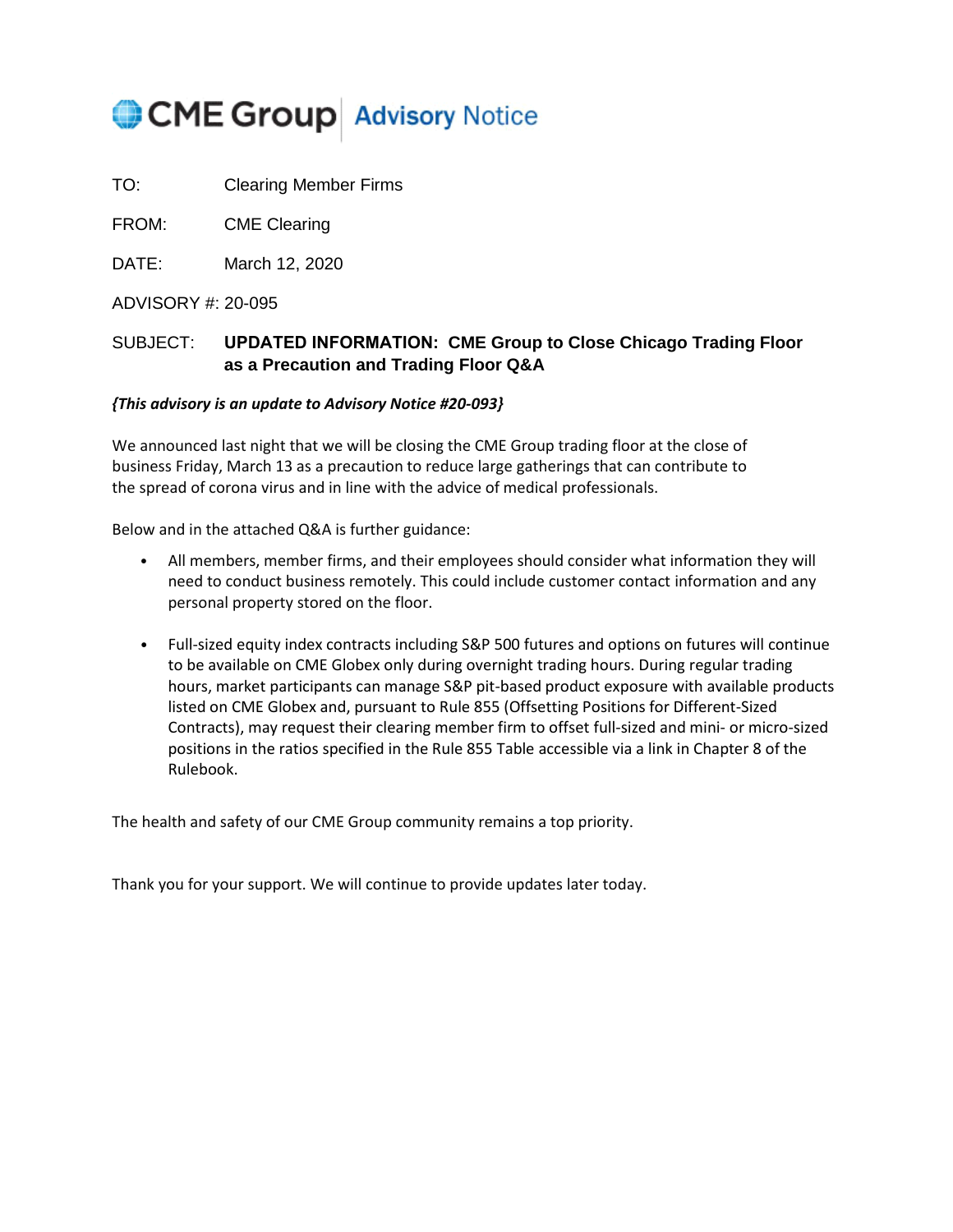# CME Group Advisory Notice

TO: Clearing Member Firms

FROM: CME Clearing

DATE: March 12, 2020

## ADVISORY #: 20-095

# SUBJECT: **UPDATED INFORMATION: CME Group to Close Chicago Trading Floor as a Precaution and Trading Floor Q&A**

## *{This advisory is an update to Advisory Notice #20-093}*

We announced last night that we will be closing the CME Group trading floor at the close of business Friday, March 13 as a precaution to reduce large gatherings that can contribute to the spread of corona virus and in line with the advice of medical professionals.

Below and in the attached Q&A is further guidance:

- All members, member firms, and their employees should consider what information they will need to conduct business remotely. This could include customer contact information and any personal property stored on the floor.
- Full-sized equity index contracts including S&P 500 futures and options on futures will continue to be available on CME Globex only during overnight trading hours. During regular trading hours, market participants can manage S&P pit-based product exposure with available products listed on CME Globex and, pursuant to Rule 855 (Offsetting Positions for Different-Sized Contracts), may request their clearing member firm to offset full-sized and mini- or micro-sized positions in the ratios specified in the Rule 855 Table accessible via a link in Chapter 8 of the Rulebook.

The health and safety of our CME Group community remains a top priority.

Thank you for your support. We will continue to provide updates later today.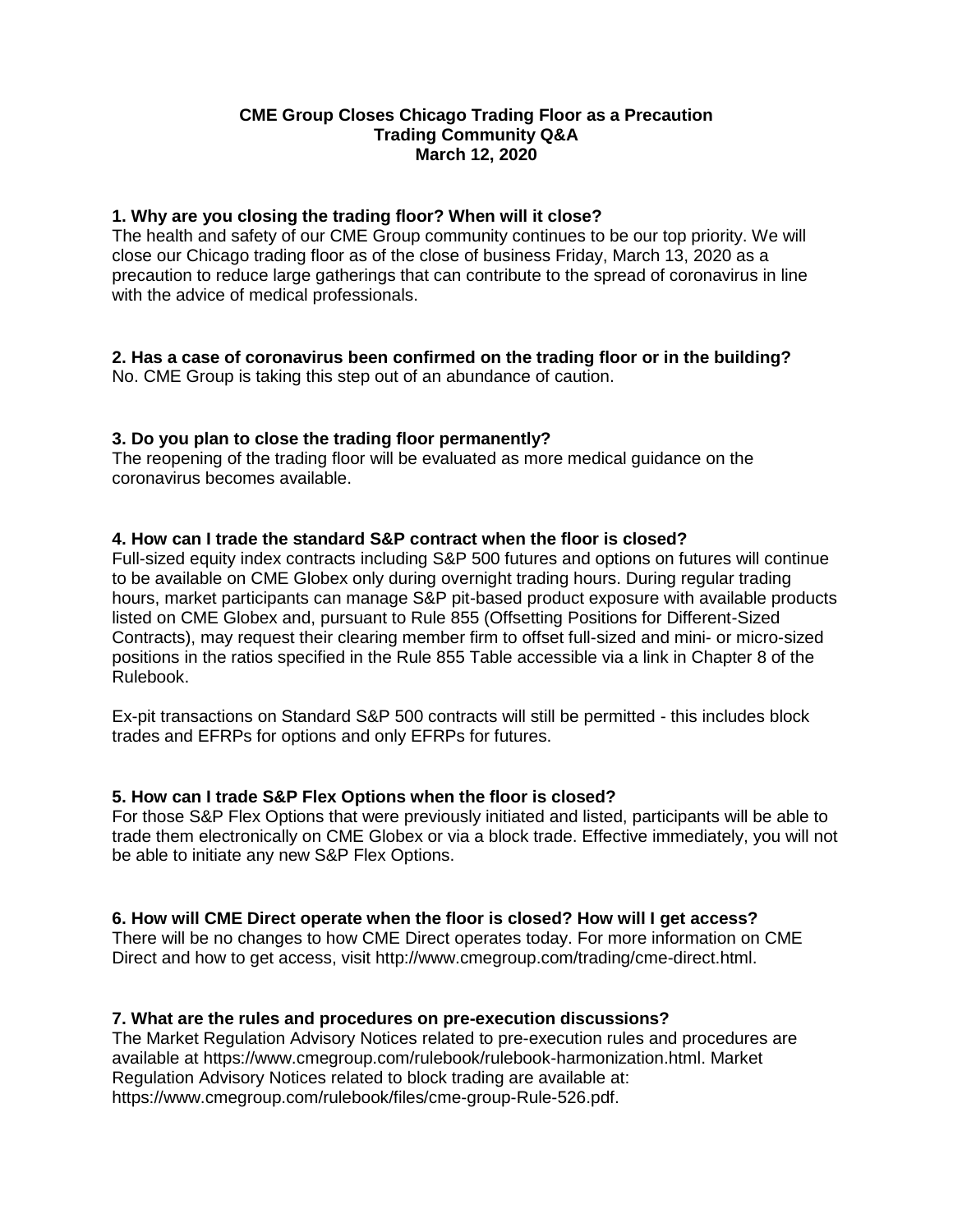# **CME Group Closes Chicago Trading Floor as a Precaution Trading Community Q&A March 12, 2020**

#### **1. Why are you closing the trading floor? When will it close?**

The health and safety of our CME Group community continues to be our top priority. We will close our Chicago trading floor as of the close of business Friday, March 13, 2020 as a precaution to reduce large gatherings that can contribute to the spread of coronavirus in line with the advice of medical professionals.

# **2. Has a case of coronavirus been confirmed on the trading floor or in the building?**

No. CME Group is taking this step out of an abundance of caution.

## **3. Do you plan to close the trading floor permanently?**

The reopening of the trading floor will be evaluated as more medical guidance on the coronavirus becomes available.

## **4. How can I trade the standard S&P contract when the floor is closed?**

Full-sized equity index contracts including S&P 500 futures and options on futures will continue to be available on CME Globex only during overnight trading hours. During regular trading hours, market participants can manage S&P pit-based product exposure with available products listed on CME Globex and, pursuant to Rule 855 (Offsetting Positions for Different-Sized Contracts), may request their clearing member firm to offset full-sized and mini- or micro-sized positions in the ratios specified in the Rule 855 Table accessible via a link in Chapter 8 of the Rulebook.

Ex-pit transactions on Standard S&P 500 contracts will still be permitted - this includes block trades and EFRPs for options and only EFRPs for futures.

#### **5. How can I trade S&P Flex Options when the floor is closed?**

For those S&P Flex Options that were previously initiated and listed, participants will be able to trade them electronically on CME Globex or via a block trade. Effective immediately, you will not be able to initiate any new S&P Flex Options.

# **6. How will CME Direct operate when the floor is closed? How will I get access?**

There will be no changes to how CME Direct operates today. For more information on CME Direct and how to get access, visit http://www.cmegroup.com/trading/cme-direct.html.

#### **7. What are the rules and procedures on pre-execution discussions?**

The Market Regulation Advisory Notices related to pre-execution rules and procedures are available at https://www.cmegroup.com/rulebook/rulebook-harmonization.html. Market Regulation Advisory Notices related to block trading are available at: https://www.cmegroup.com/rulebook/files/cme-group-Rule-526.pdf.